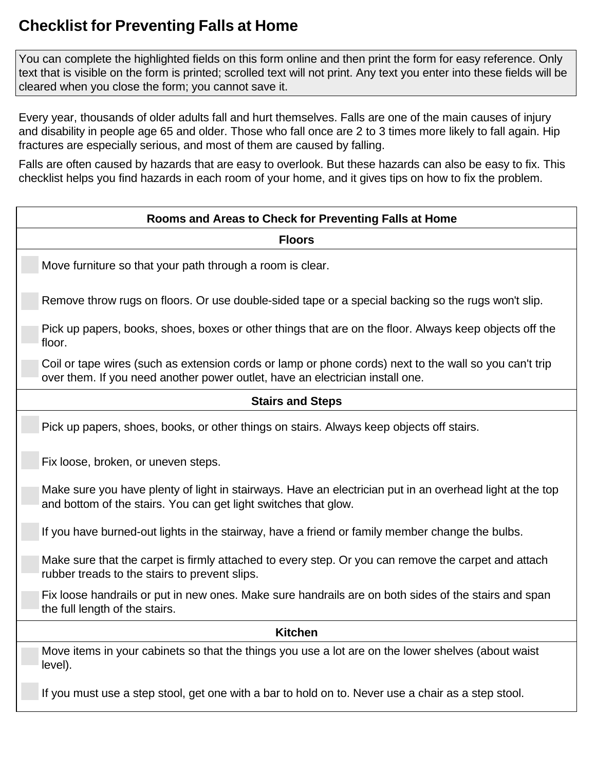## **Checklist for Preventing Falls at Home**

 You can complete the highlighted fields on this form online and then print the form for easy reference. Only text that is visible on the form is printed; scrolled text will not print. Any text you enter into these fields will be cleared when you close the form; you cannot save it.

 Every year, thousands of older adults fall and hurt themselves. Falls are one of the main causes of injury and disability in people age 65 and older. Those who fall once are 2 to 3 times more likely to fall again. Hip fractures are especially serious, and most of them are caused by falling.

 Falls are often caused by hazards that are easy to overlook. But these hazards can also be easy to fix. This checklist helps you find hazards in each room of your home, and it gives tips on how to fix the problem.

| Rooms and Areas to Check for Preventing Falls at Home                                                                                                                                   |
|-----------------------------------------------------------------------------------------------------------------------------------------------------------------------------------------|
| <b>Floors</b>                                                                                                                                                                           |
| Move furniture so that your path through a room is clear.                                                                                                                               |
| Remove throw rugs on floors. Or use double-sided tape or a special backing so the rugs won't slip.                                                                                      |
| Pick up papers, books, shoes, boxes or other things that are on the floor. Always keep objects off the<br>floor.                                                                        |
| Coil or tape wires (such as extension cords or lamp or phone cords) next to the wall so you can't trip<br>over them. If you need another power outlet, have an electrician install one. |
| <b>Stairs and Steps</b>                                                                                                                                                                 |
| Pick up papers, shoes, books, or other things on stairs. Always keep objects off stairs.                                                                                                |
| Fix loose, broken, or uneven steps.                                                                                                                                                     |
| Make sure you have plenty of light in stairways. Have an electrician put in an overhead light at the top<br>and bottom of the stairs. You can get light switches that glow.             |
| If you have burned-out lights in the stairway, have a friend or family member change the bulbs.                                                                                         |
| Make sure that the carpet is firmly attached to every step. Or you can remove the carpet and attach<br>rubber treads to the stairs to prevent slips.                                    |
| Fix loose handrails or put in new ones. Make sure handrails are on both sides of the stairs and span<br>the full length of the stairs.                                                  |
| <b>Kitchen</b>                                                                                                                                                                          |
| Move items in your cabinets so that the things you use a lot are on the lower shelves (about waist<br>level).                                                                           |
| If you must use a step stool, get one with a bar to hold on to. Never use a chair as a step stool.                                                                                      |